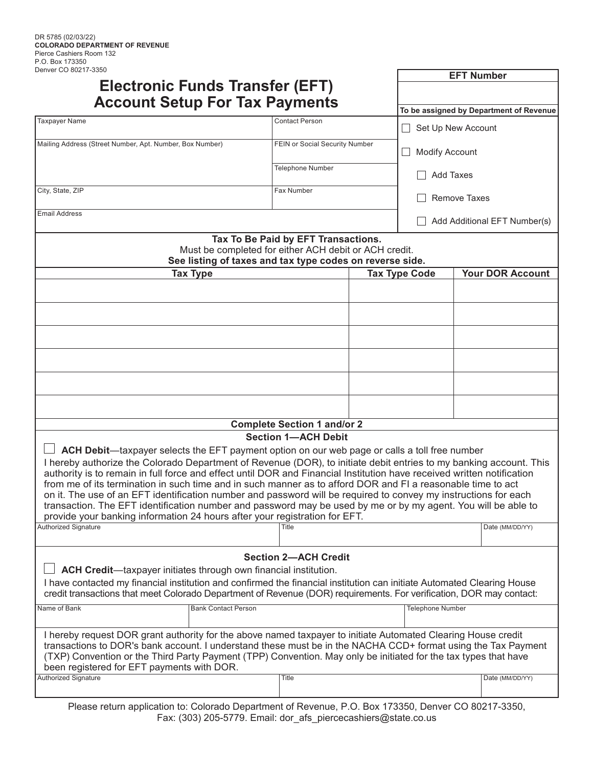| DEIINEI OU OUZ I <i>I-</i> JJJU                                                                                                                                                                                                                |                                                                                                                   |                                     |                           | <b>EFT Number</b>                       |
|------------------------------------------------------------------------------------------------------------------------------------------------------------------------------------------------------------------------------------------------|-------------------------------------------------------------------------------------------------------------------|-------------------------------------|---------------------------|-----------------------------------------|
| Electronic Funds Transfer (EFT)                                                                                                                                                                                                                |                                                                                                                   |                                     |                           |                                         |
| <b>Account Setup For Tax Payments</b>                                                                                                                                                                                                          |                                                                                                                   |                                     |                           | To be assigned by Department of Revenue |
| <b>Taxpayer Name</b>                                                                                                                                                                                                                           |                                                                                                                   | <b>Contact Person</b>               | $\Box$ Set Up New Account |                                         |
| Mailing Address (Street Number, Apt. Number, Box Number)                                                                                                                                                                                       |                                                                                                                   | FEIN or Social Security Number      |                           |                                         |
|                                                                                                                                                                                                                                                |                                                                                                                   |                                     | <b>Modify Account</b>     |                                         |
|                                                                                                                                                                                                                                                |                                                                                                                   | <b>Telephone Number</b>             |                           |                                         |
|                                                                                                                                                                                                                                                |                                                                                                                   |                                     | <b>Add Taxes</b>          |                                         |
| City, State, ZIP                                                                                                                                                                                                                               |                                                                                                                   | Fax Number                          |                           | Remove Taxes                            |
| <b>Email Address</b>                                                                                                                                                                                                                           |                                                                                                                   |                                     |                           | Add Additional EFT Number(s)            |
|                                                                                                                                                                                                                                                |                                                                                                                   | Tax To Be Paid by EFT Transactions. |                           |                                         |
|                                                                                                                                                                                                                                                | Must be completed for either ACH debit or ACH credit.<br>See listing of taxes and tax type codes on reverse side. |                                     |                           |                                         |
| <b>Tax Type</b>                                                                                                                                                                                                                                |                                                                                                                   |                                     | <b>Tax Type Code</b>      | <b>Your DOR Account</b>                 |
|                                                                                                                                                                                                                                                |                                                                                                                   |                                     |                           |                                         |
|                                                                                                                                                                                                                                                |                                                                                                                   |                                     |                           |                                         |
|                                                                                                                                                                                                                                                |                                                                                                                   |                                     |                           |                                         |
|                                                                                                                                                                                                                                                |                                                                                                                   |                                     |                           |                                         |
|                                                                                                                                                                                                                                                |                                                                                                                   |                                     |                           |                                         |
|                                                                                                                                                                                                                                                |                                                                                                                   |                                     |                           |                                         |
|                                                                                                                                                                                                                                                |                                                                                                                   |                                     |                           |                                         |
|                                                                                                                                                                                                                                                |                                                                                                                   |                                     |                           |                                         |
|                                                                                                                                                                                                                                                |                                                                                                                   |                                     |                           |                                         |
|                                                                                                                                                                                                                                                |                                                                                                                   | <b>Complete Section 1 and/or 2</b>  |                           |                                         |
|                                                                                                                                                                                                                                                |                                                                                                                   | <b>Section 1-ACH Debit</b>          |                           |                                         |
| ACH Debit—taxpayer selects the EFT payment option on our web page or calls a toll free number                                                                                                                                                  |                                                                                                                   |                                     |                           |                                         |
| I hereby authorize the Colorado Department of Revenue (DOR), to initiate debit entries to my banking account. This<br>authority is to remain in full force and effect until DOR and Financial Institution have received written notification   |                                                                                                                   |                                     |                           |                                         |
| from me of its termination in such time and in such manner as to afford DOR and FI a reasonable time to act                                                                                                                                    |                                                                                                                   |                                     |                           |                                         |
| on it. The use of an EFT identification number and password will be required to convey my instructions for each<br>transaction. The EFT identification number and password may be used by me or by my agent. You will be able to               |                                                                                                                   |                                     |                           |                                         |
| provide your banking information 24 hours after your registration for EFT.                                                                                                                                                                     |                                                                                                                   |                                     |                           |                                         |
| <b>Authorized Signature</b>                                                                                                                                                                                                                    |                                                                                                                   | Title                               |                           | Date (MM/DD/YY)                         |
|                                                                                                                                                                                                                                                |                                                                                                                   |                                     |                           |                                         |
|                                                                                                                                                                                                                                                |                                                                                                                   | <b>Section 2-ACH Credit</b>         |                           |                                         |
| ACH Credit-taxpayer initiates through own financial institution.                                                                                                                                                                               |                                                                                                                   |                                     |                           |                                         |
| I have contacted my financial institution and confirmed the financial institution can initiate Automated Clearing House<br>credit transactions that meet Colorado Department of Revenue (DOR) requirements. For verification, DOR may contact: |                                                                                                                   |                                     |                           |                                         |
| Name of Bank                                                                                                                                                                                                                                   | <b>Bank Contact Person</b>                                                                                        |                                     | <b>Telephone Number</b>   |                                         |
|                                                                                                                                                                                                                                                |                                                                                                                   |                                     |                           |                                         |
| I hereby request DOR grant authority for the above named taxpayer to initiate Automated Clearing House credit                                                                                                                                  |                                                                                                                   |                                     |                           |                                         |
| transactions to DOR's bank account. I understand these must be in the NACHA CCD+ format using the Tax Payment<br>(TXP) Convention or the Third Party Payment (TPP) Convention. May only be initiated for the tax types that have               |                                                                                                                   |                                     |                           |                                         |
| been registered for EFT payments with DOR.                                                                                                                                                                                                     |                                                                                                                   |                                     |                           |                                         |
| <b>Authorized Signature</b>                                                                                                                                                                                                                    |                                                                                                                   | <b>Title</b>                        |                           | Date (MM/DD/YY)                         |
| $D_{0.0000}$ return enpliestion to: Colorado Department of Dovenue, $D_{0.000}$ , $D_{0.000}$ , $D_{0.000}$ $D_{0.000}$                                                                                                                        |                                                                                                                   |                                     |                           |                                         |

Please return application to: Colorado Department of Revenue, P.O. Box 173350, Denver CO 80217-3350, Fax: (303) 205-5779. Email: dor\_afs\_piercecashiers@state.co.us